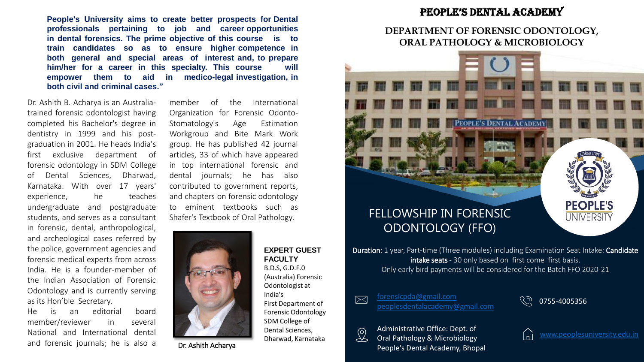**People's University aims to create better prospects for Dental professionals pertaining to job and career opportunities in dental forensics. The prime objective of this course is to train candidates so as to ensure higher competence in both general and special areas of interest and, to prepare him/her for a career in this specialty. This course will empower them to aid in medico-legal investigation, in both civil and criminal cases."**

Dr. Ashith B. Acharya is an Australiatrained forensic odontologist having completed his Bachelor's degree in dentistry in 1999 and his postgraduation in 2001. He heads India's first exclusive department of forensic odontology in SDM College of Dental Sciences, Dharwad, Karnataka. With over 17 years' experience, he teaches undergraduate and postgraduate students, and serves as a consultant in forensic, dental, anthropological, and archeological cases referred by the police, government agencies and forensic medical experts from across India. He is a founder-member of the Indian Association of Forensic Odontology and is currently serving as its Hon'ble Secretary.

He is an editorial board member/reviewer in several National and International dental and forensic journals; he is also a member of the International Organization for Forensic Odonto-Stomatology's Age Estimation Workgroup and Bite Mark Work group. He has published 42 journal articles, 33 of which have appeared in top international forensic and dental journals; he has also contributed to government reports, and chapters on forensic odontology to eminent textbooks such as Shafer's Textbook of Oral Pathology.

**EXPERT GUEST** 

First Department of Forensic Odontology SDM College of Dental Sciences, Dharwad, Karnataka

**FACULTY** B.D.S, G.D.F.0 (Australia) Forensic Odontologist at

India's



Dr. Ashith Acharya

# PEOPLE'S DENTAL ACADEMY

# **DEPARTMENT OF FORENSIC ODONTOLOGY, ORAL PATHOLOGY & MICROBIOLOGY**



Duration: 1 year, Part-time (Three modules) including Examination Seat Intake: Candidate intake seats - 30 only based on first come first basis. Only early bird payments will be considered for the Batch FFO 2020-21

#### [forensicpda@gmail.com](mailto:forensicpda@gmail.com)  $\boxtimes$

[peoplesdentalacademy@gmail.com](mailto:peoplesdentalacademy@gmail.com)

<u>ري</u> 0755-4005356



Administrative Office: Dept. of Oral Pathology & Microbiology People's Dental Academy, Bhopal